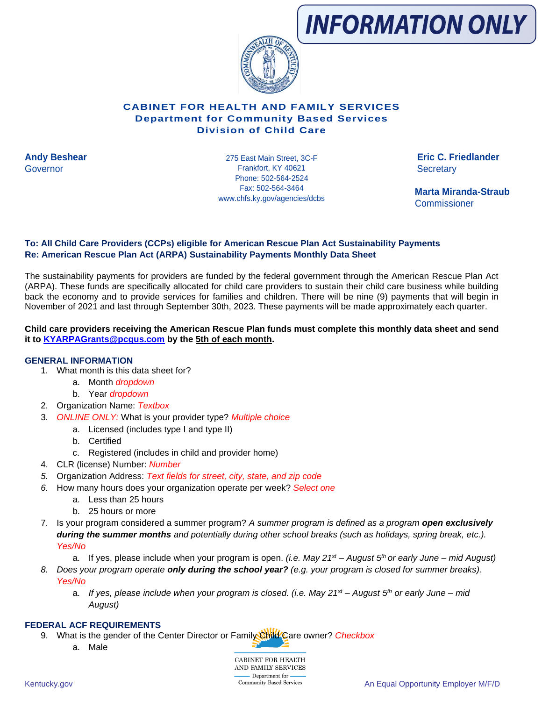

# **CABINET FOR HEALTH AND FAMILY SERVICES Department for Community Based Services Division of Child Care**

**Andy Beshear Eric C. Friedlander** 275 East Main Street, 3C-F Governor Secretary Communication of the Secretary Secretary Secretary Secretary Secretary Phone: 502-564-2524 Fax: 502-564-3464 www.chfs.ky.gov/agencies/dcbs

 **Marta Miranda-Straub Commissioner** 

# **To: All Child Care Providers (CCPs) eligible for American Rescue Plan Act Sustainability Payments Re: American Rescue Plan Act (ARPA) Sustainability Payments Monthly Data Sheet**

The sustainability payments for providers are funded by the federal government through the American Rescue Plan Act (ARPA). These funds are specifically allocated for child care providers to sustain their child care business while building back the economy and to provide services for families and children. There will be nine (9) payments that will begin in November of 2021 and last through September 30th, 2023. These payments will be made approximately each quarter.

#### **Child care providers receiving the American Rescue Plan funds must complete this monthly data sheet and send it to [KYARPAGrants@pcgus.com](mailto:KYARPAGrants@pcgus.com) by the 5th of each month.**

## **GENERAL INFORMATION**

- 1. What month is this data sheet for?
	- a. Month *dropdown*
	- b. Year *dropdown*
- 2. Organization Name: *Textbox*
- 3. *ONLINE ONLY:* What is your provider type? *Multiple choice*
	- a. Licensed (includes type I and type II)
	- b. Certified
	- c. Registered (includes in child and provider home)
- 4. CLR (license) Number: *Number*
- *5.* Organization Address: *Text fields for street, city, state, and zip code*
- *6.* How many hours does your organization operate per week? *Select one*
	- a. Less than 25 hours
	- b. 25 hours or more
- 7. Is your program considered a summer program? *A summer program is defined as a program open exclusively during the summer months and potentially during other school breaks (such as holidays, spring break, etc.). Yes/No*
	- a. If yes, please include when your program is open. *(i.e. May 21st – August 5th or early June – mid August)*
- *8. Does your program operate only during the school year? (e.g. your program is closed for summer breaks). Yes/No*
	- a. *If yes, please include when your program is closed. (i.e. May 21st – August 5th or early June – mid August)*

#### **FEDERAL ACF REQUIREMENTS**

- 9. What is the gender of the Center Director or Family Child Care owner? *Checkbox* 
	- a. Male

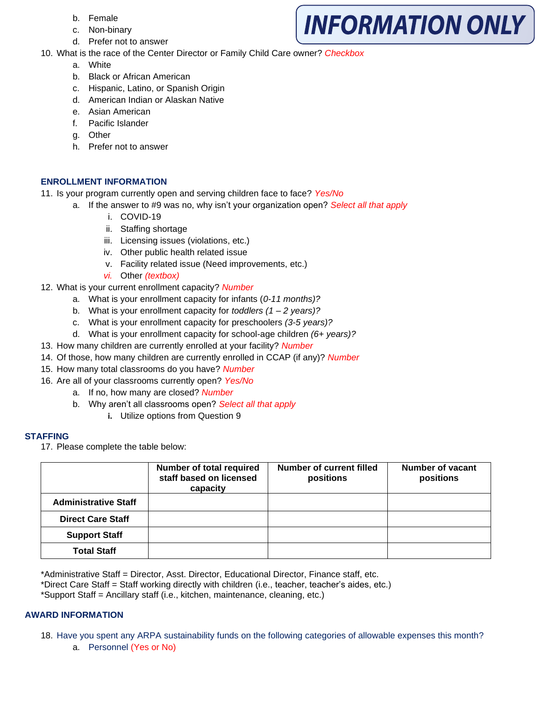- b. Female
- c. Non-binary
- d. Prefer not to answer
- 10. What is the race of the Center Director or Family Child Care owner? *Checkbox*

**INFORMATION ONLY** 

- a. White
- b. Black or African American
- c. Hispanic, Latino, or Spanish Origin
- d. American Indian or Alaskan Native
- e. Asian American
- f. Pacific Islander
- g. Other
- h. Prefer not to answer

# **ENROLLMENT INFORMATION**

- 11. Is your program currently open and serving children face to face? *Yes/No*
	- a. If the answer to #9 was no, why isn't your organization open? *Select all that apply* 
		- i. COVID-19
		- ii. Staffing shortage
		- iii. Licensing issues (violations, etc.)
		- iv. Other public health related issue
		- v. Facility related issue (Need improvements, etc.)
		- *vi.* Other *(textbox)*
- 12. What is your current enrollment capacity? *Number*
	- a. What is your enrollment capacity for infants (*0-11 months)?*
	- b. What is your enrollment capacity for *toddlers (1 – 2 years)?*
	- c. What is your enrollment capacity for preschoolers *(3-5 years)?*
	- d. What is your enrollment capacity for school-age children *(6+ years)?*
- 13. How many children are currently enrolled at your facility? *Number*
- 14. Of those, how many children are currently enrolled in CCAP (if any)? *Number*
- 15. How many total classrooms do you have? *Number*
- 16. Are all of your classrooms currently open? *Yes/No*
	- a. If no, how many are closed? *Number*
	- b. Why aren't all classrooms open? *Select all that apply*
		- **i.** Utilize options from Question 9

## **STAFFING**

17. Please complete the table below:

|                             | Number of total required<br>staff based on licensed<br>capacity | Number of current filled<br>positions | Number of vacant<br>positions |
|-----------------------------|-----------------------------------------------------------------|---------------------------------------|-------------------------------|
| <b>Administrative Staff</b> |                                                                 |                                       |                               |
| <b>Direct Care Staff</b>    |                                                                 |                                       |                               |
| <b>Support Staff</b>        |                                                                 |                                       |                               |
| <b>Total Staff</b>          |                                                                 |                                       |                               |

\*Administrative Staff = Director, Asst. Director, Educational Director, Finance staff, etc.

\*Direct Care Staff = Staff working directly with children (i.e., teacher, teacher's aides, etc.)

\*Support Staff = Ancillary staff (i.e., kitchen, maintenance, cleaning, etc.)

## **AWARD INFORMATION**

- 18. Have you spent any ARPA sustainability funds on the following categories of allowable expenses this month?
	- a. Personnel (Yes or No)